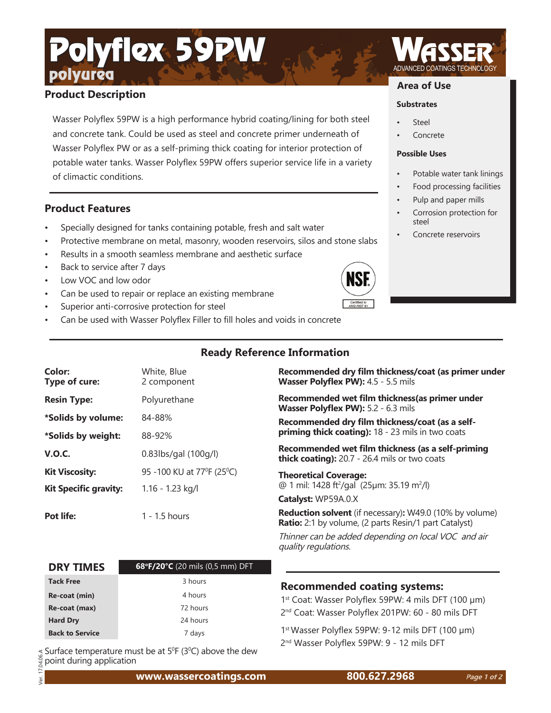# polyurea Polyflex 59PW

## **Product Description**

Wasser Polyflex 59PW is a high performance hybrid coating/lining for both steel and concrete tank. Could be used as steel and concrete primer underneath of Wasser Polyflex PW or as a self-priming thick coating for interior protection of potable water tanks. Wasser Polyflex 59PW offers superior service life in a variety of climactic conditions.

### **Product Features**

- Specially designed for tanks containing potable, fresh and salt water
- Protective membrane on metal, masonry, wooden reservoirs, silos and stone slabs
- Results in a smooth seamless membrane and aesthetic surface
- Back to service after 7 days
- Low VOC and low odor
- Can be used to repair or replace an existing membrane
- Superior anti-corrosive protection for steel
- Can be used with Wasser Polyflex Filler to fill holes and voids in concrete

#### **Area of Use**

#### **Substrates**

- **Steel**
- **Concrete**

#### **Possible Uses**

- Potable water tank linings
- Food processing facilities
- Pulp and paper mills
- Corrosion protection for steel
- Concrete reservoirs



| Color:<br>Type of cure:      | White, Blue<br>2 component | Recommended dry film thickness/coat (as primer under<br>Wasser Polyflex PW): 4.5 - 5.5 mils                             |  |
|------------------------------|----------------------------|-------------------------------------------------------------------------------------------------------------------------|--|
| <b>Resin Type:</b>           | Polyurethane               | Recommended wet film thickness (as primer under<br>Wasser Polyflex PW): 5.2 - 6.3 mils                                  |  |
| *Solids by volume:           | 84-88%                     | Recommended dry film thickness/coat (as a self-<br>priming thick coating): 18 - 23 mils in two coats                    |  |
| *Solids by weight:           | 88-92%                     |                                                                                                                         |  |
| <b>V.O.C.</b>                | 0.83lbs/gal (100g/l)       | Recommended wet film thickness (as a self-priming<br>thick coating): 20.7 - 26.4 mils or two coats                      |  |
| <b>Kit Viscosity:</b>        | 95 -100 KU at 77°F (25°C)  | <b>Theoretical Coverage:</b>                                                                                            |  |
| <b>Kit Specific gravity:</b> | $1.16 - 1.23$ kg/l         | @ 1 mil: 1428 ft <sup>2</sup> /gal (25µm: 35.19 m <sup>2</sup> /l)                                                      |  |
|                              |                            | Catalyst: WP59A.0.X                                                                                                     |  |
| Pot life:                    | $1 - 1.5$ hours            | <b>Reduction solvent</b> (if necessary): W49.0 (10% by volume)<br>Ratio: 2:1 by volume, (2 parts Resin/1 part Catalyst) |  |

Thinner can be added depending on local VOC and air quality regulations.

| <b>DRY TIMES</b>       | 68°F/20°C (20 mils (0,5 mm) DFT |
|------------------------|---------------------------------|
| <b>Tack Free</b>       | 3 hours                         |
| Re-coat (min)          | 4 hours                         |
| Re-coat (max)          | 72 hours                        |
| <b>Hard Dry</b>        | 24 hours                        |
| <b>Back to Service</b> | 7 days                          |

**Recommended coating systems:**

1<sup>st</sup> Coat: Wasser Polyflex 59PW: 4 mils DFT (100 µm) 2<sup>nd</sup> Coat: Wasser Polyflex 201PW: 60 - 80 mils DFT

1<sup>st</sup> Wasser Polyflex 59PW: 9-12 mils DFT (100 µm)

 $\frac{1}{\alpha}$  Surface temperature must be at 5ºF (3ºC) above the dew  $^2$  and Wasser Polyflex 59PW: 9 - 12 mils DFT  $^2$  Ver. 17.04.06.A point during application

**www.wassercoatings.com 800.627.2968**